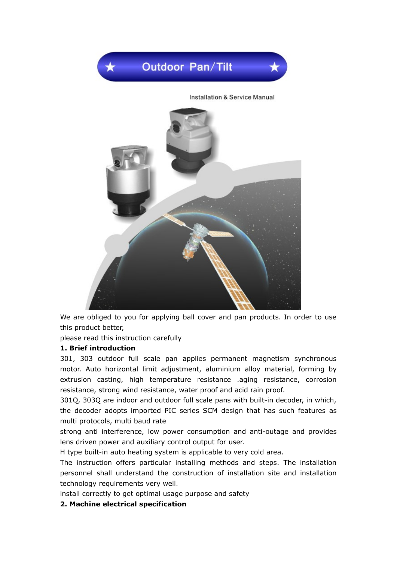

We are obliged to you for applying ball cover and pan products. In order to use this product better,

please read this instruction carefully

#### **1. Brief introduction**

301, 303 outdoor full scale pan applies permanent magnetism synchronous motor. Auto horizontal limit adjustment, aluminium alloy material, forming by extrusion casting, high temperature resistance .aging resistance, corrosion resistance, strong wind resistance, water proof and acid rain proof.

301Q, 303Q are indoor and outdoor full scale pans with built-in decoder, in which, the decoder adopts imported PIC series SCM design that has such features as multi protocols, multi baud rate

strong anti interference, low power consumption and anti-outage and provides lens driven power and auxiliary control output for user.

H type built-in auto heating system is applicable to very cold area.

The instruction offers particular installing methods and steps. The installation personnel shall understand the construction of installation site and installation technology requirements very well.

install correctly to get optimal usage purpose and safety

#### **2. Machine electrical specification**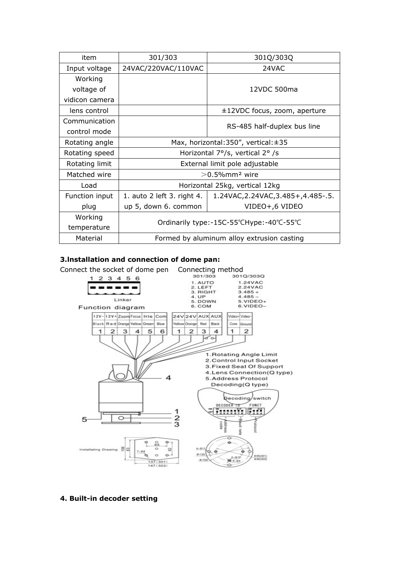| item           | 301/303                                       | 301Q/303Q                            |  |  |
|----------------|-----------------------------------------------|--------------------------------------|--|--|
| Input voltage  | 24VAC/220VAC/110VAC                           | 24VAC                                |  |  |
| Working        |                                               |                                      |  |  |
| voltage of     | 12VDC 500ma                                   |                                      |  |  |
| vidicon camera |                                               |                                      |  |  |
| lens control   |                                               | ±12VDC focus, zoom, aperture         |  |  |
| Communication  |                                               | RS-485 half-duplex bus line          |  |  |
| control mode   |                                               |                                      |  |  |
| Rotating angle | Max, horizontal: $350''$ , vertical: $\pm 35$ |                                      |  |  |
| Rotating speed | Horizontal 7°/s, vertical 2°/s                |                                      |  |  |
| Rotating limit | External limit pole adjustable                |                                      |  |  |
| Matched wire   | $>$ 0.5% $\rm mm$ <sup>2</sup> wire           |                                      |  |  |
| Load           | Horizontal 25kg, vertical 12kg                |                                      |  |  |
| Function input | 1. auto 2 left 3. right 4.                    | 1.24VAC, 2.24VAC, 3.485+, 4.485-. 5. |  |  |
| plug           | up 5, down 6. common                          | VIDEO+,6 VIDEO                       |  |  |
| Working        |                                               |                                      |  |  |
| temperature    | Ordinarily type:-15C-55°CHype:-40°C-55°C      |                                      |  |  |
| Material       | Formed by aluminum alloy extrusion casting    |                                      |  |  |

## **3.lnstallation and connection of dome pan:**



#### **4. Built-in decoder setting**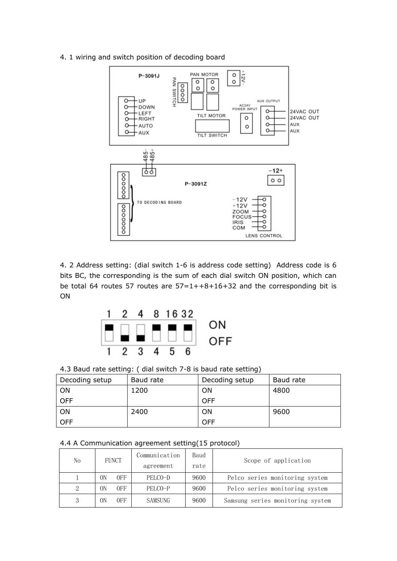

4. 1 wiring and switch position of decoding board

4. 2 Address setting: (dial switch 1-6 is address code setting) Address code is 6 bits BC, the corresponding is the sum of each dial switch ON position, which can be total 64 routes 57 routes are  $57=1++8+16+32$  and the corresponding bit is ON



4.3 Baud rate setting: ( dial switch 7-8 is baud rate setting)

| Decoding setup | Baud rate | Decoding setup | Baud rate |
|----------------|-----------|----------------|-----------|
| ON             | 1200      | <b>ON</b>      | 4800      |
| <b>OFF</b>     |           | <b>OFF</b>     |           |
| ON             | 2400      | 0 <sub>N</sub> | 9600      |
| <b>OFF</b>     |           | <b>OFF</b>     |           |

#### 4.4 A Communication agreement setting(15 protocol)

| No | <b>FUNCT</b>          | Communication  | Baud | Scope of application             |  |
|----|-----------------------|----------------|------|----------------------------------|--|
|    |                       | agreement      | rate |                                  |  |
|    | 0FF<br>ОN             | PELCO-D        | 9600 | Pelco series monitoring system   |  |
| 2  | 0 <sub>FF</sub><br>ОN | PELCO-P        | 9600 | Pelco series monitoring system   |  |
|    | 0 <sub>FF</sub><br>OΝ | <b>SAMSUNG</b> | 9600 | Samsung series monitoring system |  |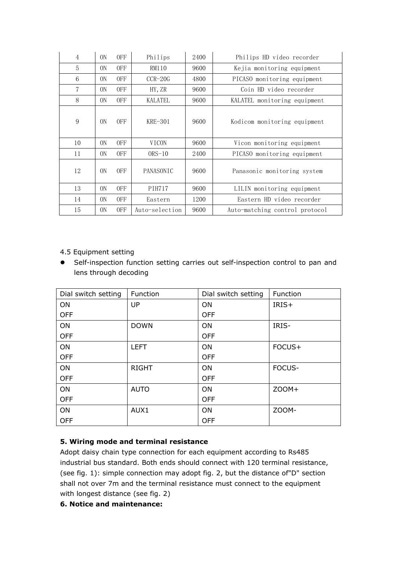| $\overline{4}$ | ΟN <sub>1</sub> | <b>OFF</b> | Philips        | 2400 | Philips HD video recorder      |  |  |
|----------------|-----------------|------------|----------------|------|--------------------------------|--|--|
| 5              | 0 <sub>N</sub>  | 0FF        | RM110          | 9600 | Kejia monitoring equipment     |  |  |
| 6              | 0N              | 0FF        | $CCR-20G$      | 4800 | PICASO monitoring equipment    |  |  |
| 7              | 0N              | 0FF        | HY, ZR         | 9600 | Coin HD video recorder         |  |  |
| 8              | 0N              | <b>OFF</b> | <b>KALATEL</b> | 9600 | KALATEL monitoring equipment   |  |  |
| 9              | 0 <sub>N</sub>  | <b>OFF</b> | $KRE-301$      | 9600 | Kodicom monitoring equipment   |  |  |
| 10             | 0N              | 0FF        | <b>VICON</b>   | 9600 | Vicon monitoring equipment     |  |  |
| 11             | 0 <sub>N</sub>  | 0FF        | $ORS-10$       | 2400 | PICASO monitoring equipment    |  |  |
| 12             | 0 <sub>N</sub>  | <b>OFF</b> | PANASONIC      | 9600 | Panasonic monitoring system    |  |  |
| 13             | 0N              | <b>OFF</b> | <b>PIH717</b>  | 9600 | LILIN monitoring equipment     |  |  |
| 14             | 0N              | 0FF        | Eastern        | 1200 | Eastern HD video recorder      |  |  |
| 15             | 0 <sub>N</sub>  | <b>OFF</b> | Auto-selection | 9600 | Auto-matching control protocol |  |  |

# 4.5 Equipment setting

 Self-inspection function setting carries out self-inspection control to pan and lens through decoding

| Dial switch setting | Function     | Dial switch setting | Function |
|---------------------|--------------|---------------------|----------|
| ON                  | <b>UP</b>    | ON                  | IRIS+    |
| <b>OFF</b>          |              | <b>OFF</b>          |          |
| ON                  | <b>DOWN</b>  | ON                  | IRIS-    |
| <b>OFF</b>          |              | <b>OFF</b>          |          |
| ON                  | <b>LEFT</b>  | ON                  | FOCUS+   |
| <b>OFF</b>          |              | <b>OFF</b>          |          |
| ON                  | <b>RIGHT</b> | ON                  | FOCUS-   |
| <b>OFF</b>          |              | <b>OFF</b>          |          |
| ON                  | <b>AUTO</b>  | ON                  | $ZOOM+$  |
| <b>OFF</b>          |              | <b>OFF</b>          |          |
| ON                  | AUX1         | ON                  | ZOOM-    |
| <b>OFF</b>          |              | <b>OFF</b>          |          |

# **5. Wiring mode and terminal resistance**

Adopt daisy chain type connection for each equipment according to Rs485 industrial bus standard. Both ends should connect with 120 terminal resistance, (see fig. 1): simple connection may adopt fig. 2, but the distance of"D" section shall not over 7m and the terminal resistance must connect to the equipment with longest distance (see fig. 2)

# **6. Notice and maintenance:**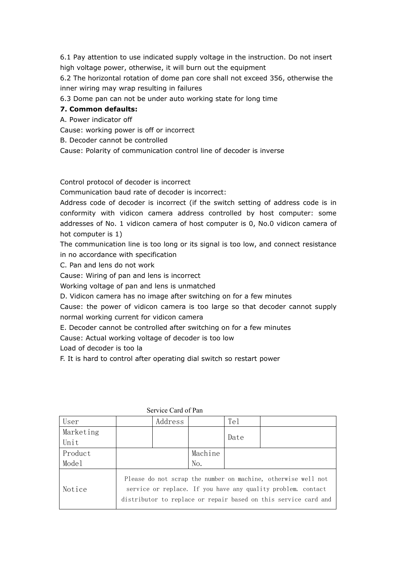6.1 Pay attention to use indicated supply voltage in the instruction. Do not insert high voltage power, otherwise, it will burn out the equipment

6.2 The horizontal rotation of dome pan core shall not exceed 356, otherwise the inner wiring may wrap resulting in failures

6.3 Dome pan can not be under auto working state for long time

# **7. Common defaults:**

A. Power indicator off

Cause: working power is off or incorrect

B. Decoder cannot be controlled

Cause: Polarity of communication control line of decoder is inverse

Control protocol of decoder is incorrect

Communication baud rate of decoder is incorrect:

Address code of decoder is incorrect (if the switch setting of address code is in conformity with vidicon camera address controlled by host computer: some addresses of No. 1 vidicon camera of host computer is 0, No.0 vidicon camera of hot computer is 1)

The communication line is too long or its signal is too low, and connect resistance in no accordance with specification

C. Pan and lens do not work

Cause: Wiring of pan and lens is incorrect

Working voltage of pan and lens is unmatched

D. Vidicon camera has no image after switching on for a few minutes

Cause: the power of vidicon camera is too large so that decoder cannot supply normal working current for vidicon camera

E. Decoder cannot be controlled after switching on for a few minutes

Cause: Actual working voltage of decoder is too low

Load of decoder is too la

F. It is hard to control after operating dial switch so restart power

| User      |                                                                                                                                                                                                  | Address |         | Tel  |  |
|-----------|--------------------------------------------------------------------------------------------------------------------------------------------------------------------------------------------------|---------|---------|------|--|
| Marketing |                                                                                                                                                                                                  |         |         | Date |  |
| Unit      |                                                                                                                                                                                                  |         |         |      |  |
| Product   |                                                                                                                                                                                                  |         | Machine |      |  |
| Model     |                                                                                                                                                                                                  |         | No.     |      |  |
| Notice    | Please do not scrap the number on machine, otherwise well not<br>service or replace. If you have any quality problem, contact<br>distributor to replace or repair based on this service card and |         |         |      |  |

Service Card of Pan